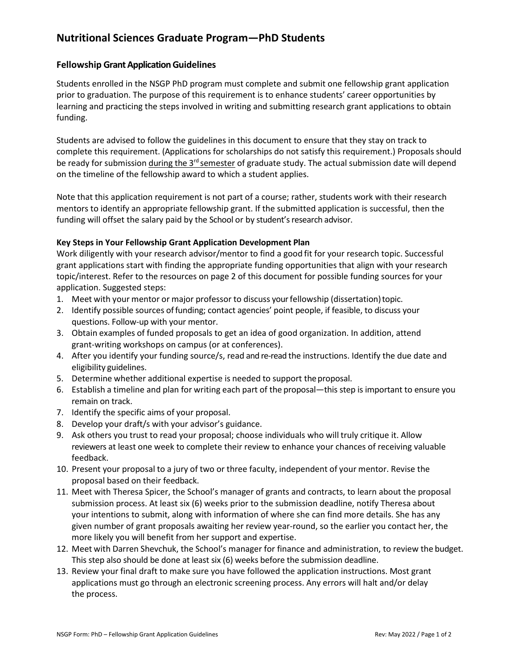# **Nutritional Sciences Graduate Program—PhD Students**

### **Fellowship Grant Application Guidelines**

Students enrolled in the NSGP PhD program must complete and submit one fellowship grant application prior to graduation. The purpose of this requirement is to enhance students' career opportunities by learning and practicing the steps involved in writing and submitting research grant applications to obtain funding.

Students are advised to follow the guidelines in this document to ensure that they stay on track to complete this requirement. (Applications for scholarships do not satisfy this requirement.) Proposals should be ready for submission during the 3<sup>rd</sup> semester of graduate study. The actual submission date will depend on the timeline of the fellowship award to which a student applies.

Note that this application requirement is not part of a course; rather, students work with their research mentors to identify an appropriate fellowship grant. If the submitted application is successful, then the funding will offset the salary paid by the School or by student's research advisor.

### **Key Steps in Your Fellowship Grant Application Development Plan**

Work diligently with your research advisor/mentor to find a good fit for your research topic. Successful grant applications start with finding the appropriate funding opportunities that align with your research topic/interest. Refer to the resources on page 2 of this document for possible funding sources for your application. Suggested steps:

- 1. Meet with your mentor or major professor to discuss your fellowship (dissertation)topic.
- 2. Identify possible sources offunding; contact agencies' point people, if feasible, to discuss your questions. Follow-up with your mentor.
- 3. Obtain examples of funded proposals to get an idea of good organization. In addition, attend grant-writing workshops on campus (or at conferences).
- 4. After you identify your funding source/s, read and re-read the instructions. Identify the due date and eligibility guidelines.
- 5. Determine whether additional expertise is needed to support theproposal.
- 6. Establish a timeline and plan for writing each part of the proposal—this step is important to ensure you remain on track.
- 7. Identify the specific aims of your proposal.
- 8. Develop your draft/s with your advisor's guidance.
- 9. Ask others you trust to read your proposal; choose individuals who will truly critique it. Allow reviewers at least one week to complete their review to enhance your chances of receiving valuable feedback.
- 10. Present your proposal to a jury of two or three faculty, independent of your mentor. Revise the proposal based on their feedback.
- 11. Meet with Theresa Spicer, the School's manager of grants and contracts, to learn about the proposal submission process. At least six (6) weeks prior to the submission deadline, notify Theresa about your intentions to submit, along with information of where she can find more details. She has any given number of grant proposals awaiting her review year-round, so the earlier you contact her, the more likely you will benefit from her support and expertise.
- 12. Meet with Darren Shevchuk, the School's manager for finance and administration, to review the budget. This step also should be done at least six (6) weeks before the submission deadline.
- 13. Review your final draft to make sure you have followed the application instructions. Most grant applications must go through an electronic screening process. Any errors will halt and/or delay the process.